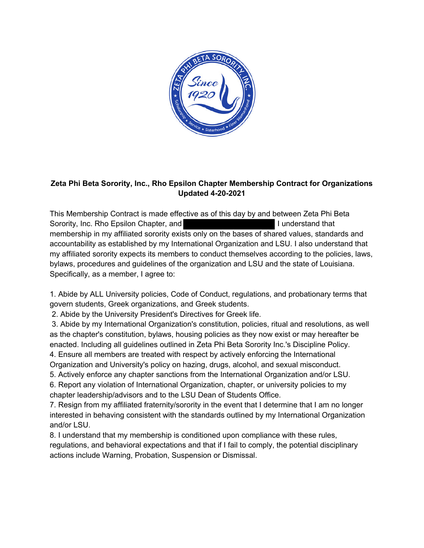

## **Zeta Phi Beta Sorority, Inc., Rho Epsilon Chapter Membership Contract for Organizations Updated 4-20-2021**

 This Membership Contract is made effective as of this day by and between Zeta Phi Beta Sorority, Inc. Rho Epsilon Chapter, and I understand that I understand that membership in my affiliated sorority exists only on the bases of shared values, standards and accountability as established by my International Organization and LSU. I also understand that my affiliated sorority expects its members to conduct themselves according to the policies, laws, bylaws, procedures and guidelines of the organization and LSU and the state of Louisiana. Specifically, as a member, I agree to:

 1. Abide by ALL University policies, Code of Conduct, regulations, and probationary terms that govern students, Greek organizations, and Greek students.

2. Abide by the University President's Directives for Greek life.

 3. Abide by my International Organization's constitution, policies, ritual and resolutions, as well as the chapter's constitution, bylaws, housing policies as they now exist or may hereafter be enacted. Including all guidelines outlined in Zeta Phi Beta Sorority Inc.'s Discipline Policy.

4. Ensure all members are treated with respect by actively enforcing the International

Organization and University's policy on hazing, drugs, alcohol, and sexual misconduct.

5. Actively enforce any chapter sanctions from the International Organization and/or LSU.

 6. Report any violation of International Organization, chapter, or university policies to my chapter leadership/advisors and to the LSU Dean of Students Office.

 7. Resign from my affiliated fraternity/sorority in the event that I determine that I am no longer interested in behaving consistent with the standards outlined by my International Organization and/or LSU.

 8. I understand that my membership is conditioned upon compliance with these rules, actions include Warning, Probation, Suspension or Dismissal. regulations, and behavioral expectations and that if I fail to comply, the potential disciplinary